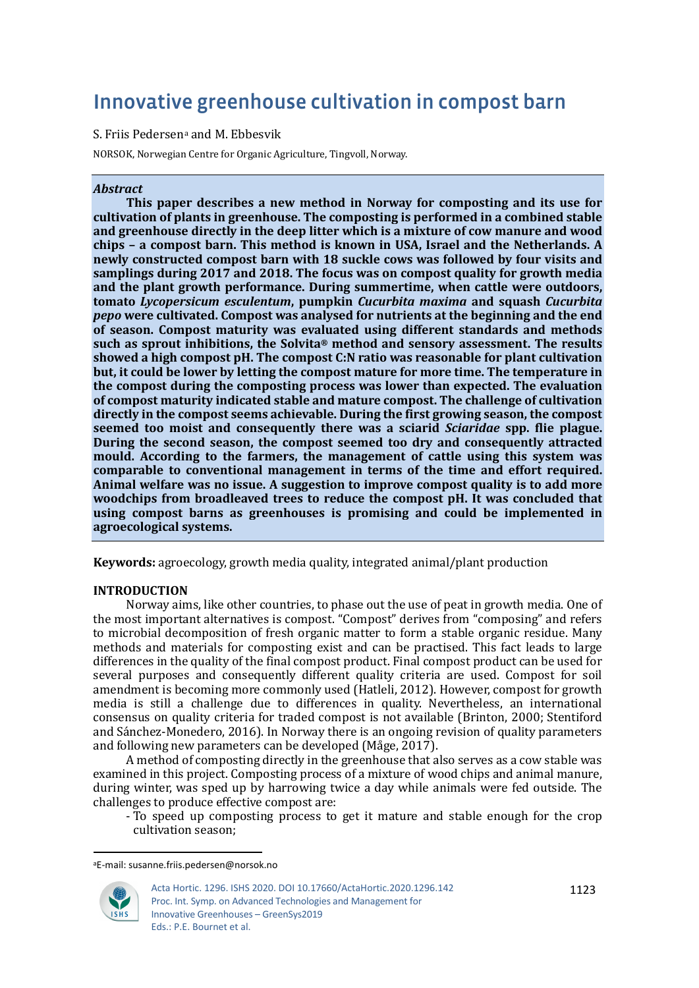# Innovative greenhouse cultivation in compost barn

## S. Friis Pedersen[a](#page-0-0) and M. Ebbesvik

NORSOK, Norwegian Centre for Organic Agriculture, Tingvoll, Norway.

## *Abstract*

**This paper describes a new method in Norway for composting and its use for cultivation of plants in greenhouse. The composting is performed in a combined stable and greenhouse directly in the deep litter which is a mixture of cow manure and wood chips – a compost barn. This method is known in USA, Israel and the Netherlands. A newly constructed compost barn with 18 suckle cows was followed by four visits and samplings during 2017 and 2018. The focus was on compost quality for growth media and the plant growth performance. During summertime, when cattle were outdoors, tomato** *Lycopersicum esculentum***, pumpkin** *Cucurbita maxima* **and squash** *Cucurbita pepo* **were cultivated. Compost was analysed for nutrients at the beginning and the end of season. Compost maturity was evaluated using different standards and methods such as sprout inhibitions, the Solvita® method and sensory assessment. The results showed a high compost pH. The compost C:N ratio was reasonable for plant cultivation but, it could be lower by letting the compost mature for more time. The temperature in the compost during the composting process was lower than expected. The evaluation of compost maturity indicated stable and mature compost. The challenge of cultivation directly in the compost seems achievable. During the first growing season, the compost seemed too moist and consequently there was a sciarid** *Sciaridae* **spp. flie plague. During the second season, the compost seemed too dry and consequently attracted mould. According to the farmers, the management of cattle using this system was comparable to conventional management in terms of the time and effort required. Animal welfare was no issue. A suggestion to improve compost quality is to add more woodchips from broadleaved trees to reduce the compost pH. It was concluded that using compost barns as greenhouses is promising and could be implemented in agroecological systems.**

**Keywords:** agroecology, growth media quality, integrated animal/plant production

# **INTRODUCTION**

Norway aims, like other countries, to phase out the use of peat in growth media. One of the most important alternatives is compost. "Compost" derives from "composing" and refers to microbial decomposition of fresh organic matter to form a stable organic residue. Many methods and materials for composting exist and can be practised. This fact leads to large differences in the quality of the final compost product. Final compost product can be used for several purposes and consequently different quality criteria are used. Compost for soil amendment is becoming more commonly used (Hatleli, 2012). However, compost for growth media is still a challenge due to differences in quality. Nevertheless, an international consensus on quality criteria for traded compost is not available (Brinton, 2000; Stentiford and Sánchez-Monedero, 2016). In Norway there is an ongoing revision of quality parameters and following new parameters can be developed (Måge, 2017).

A method of composting directly in the greenhouse that also serves as a cow stable was examined in this project. Composting process of a mixture of wood chips and animal manure, during winter, was sped up by harrowing twice a day while animals were fed outside. The challenges to produce effective compost are:

- To speed up composting process to get it mature and stable enough for the crop cultivation season;

<span id="page-0-0"></span>aE-mail: susanne.friis.pedersen@norsok.no



Acta Hortic. 1296. ISHS 2020. DOI 10.17660/ActaHortic.2020.1296.142 Proc. Int. Symp. on Advanced Technologies and Management for Innovative Greenhouses – GreenSys2019 Eds.: P.E. Bournet et al.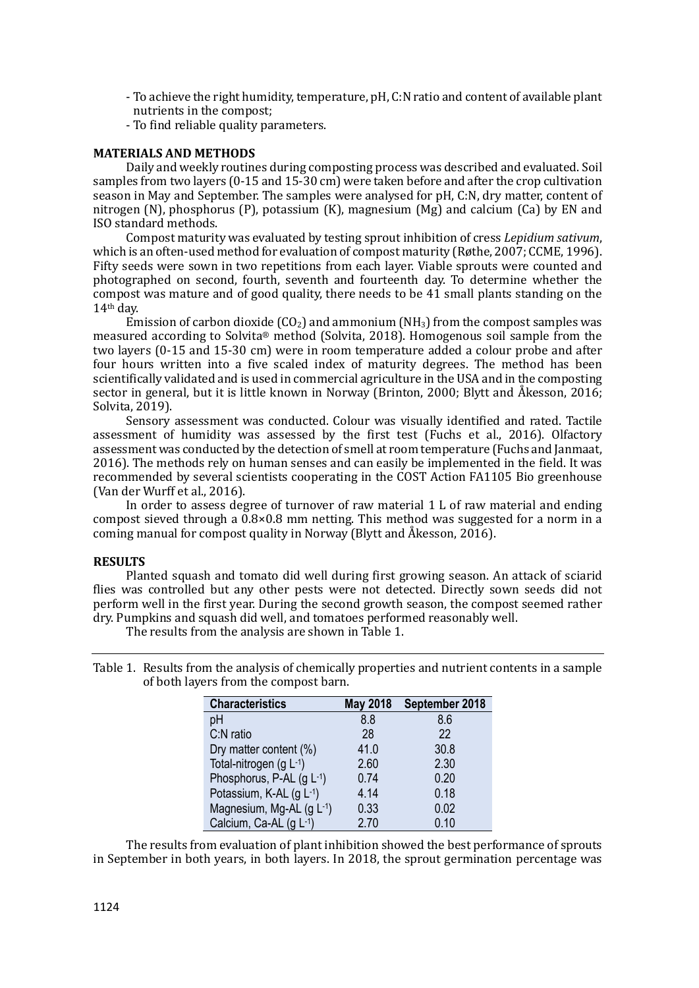- To achieve the right humidity, temperature, pH, C:N ratio and content of available plant nutrients in the compost;
- To find reliable quality parameters.

## **MATERIALS AND METHODS**

Daily and weekly routines during composting process was described and evaluated. Soil samples from two layers (0-15 and 15-30 cm) were taken before and after the crop cultivation season in May and September. The samples were analysed for pH, C:N, dry matter, content of nitrogen (N), phosphorus (P), potassium (K), magnesium (Mg) and calcium (Ca) by EN and ISO standard methods.

Compost maturity was evaluated by testing sprout inhibition of cress *Lepidium sativum*, which is an often-used method for evaluation of compost maturity (Røthe, 2007; CCME, 1996). Fifty seeds were sown in two repetitions from each layer. Viable sprouts were counted and photographed on second, fourth, seventh and fourteenth day. To determine whether the compost was mature and of good quality, there needs to be 41 small plants standing on the 14th day.

Emission of carbon dioxide  $(CO_2)$  and ammonium  $(NH_3)$  from the compost samples was measured according to Solvita® method (Solvita, 2018). Homogenous soil sample from the two layers (0-15 and 15-30 cm) were in room temperature added a colour probe and after four hours written into a five scaled index of maturity degrees. The method has been scientifically validated and is used in commercial agriculture in the USA and in the composting sector in general, but it is little known in Norway (Brinton, 2000; Blytt and Åkesson, 2016; Solvita, 2019).

Sensory assessment was conducted. Colour was visually identified and rated. Tactile assessment of humidity was assessed by the first test (Fuchs et al., 2016). Olfactory assessment was conducted by the detection of smell at room temperature (Fuchs and Janmaat, 2016). The methods rely on human senses and can easily be implemented in the field. It was recommended by several scientists cooperating in the COST Action FA1105 Bio greenhouse (Van der Wurff et al., 2016).

In order to assess degree of turnover of raw material 1 L of raw material and ending compost sieved through a 0.8×0.8 mm netting. This method was suggested for a norm in a coming manual for compost quality in Norway (Blytt and AÅ kesson, 2016).

## **RESULTS**

Planted squash and tomato did well during first growing season. An attack of sciarid flies was controlled but any other pests were not detected. Directly sown seeds did not perform well in the first year. During the second growth season, the compost seemed rather dry. Pumpkins and squash did well, and tomatoes performed reasonably well.

The results from the analysis are shown in Table 1.

| Table 1. Results from the analysis of chemically properties and nutrient contents in a sample |
|-----------------------------------------------------------------------------------------------|
| of both layers from the compost barn.                                                         |

| <b>Characteristics</b>      | <b>May 2018</b> | September 2018 |
|-----------------------------|-----------------|----------------|
| рH                          | 8.8             | 8.6            |
| C:N ratio                   | 28              | 22             |
| Dry matter content (%)      | 41.0            | 30.8           |
| Total-nitrogen $(g L^{-1})$ | 2.60            | 2.30           |
| Phosphorus, P-AL (g L-1)    | 0.74            | 0.20           |
| Potassium, K-AL (g L-1)     | 4.14            | 0.18           |
| Magnesium, Mg-AL (g L-1)    | 0.33            | 0.02           |
| Calcium, Ca-AL (g L-1)      | 2.70            | 0.10           |

The results from evaluation of plant inhibition showed the best performance of sprouts in September in both years, in both layers. In 2018, the sprout germination percentage was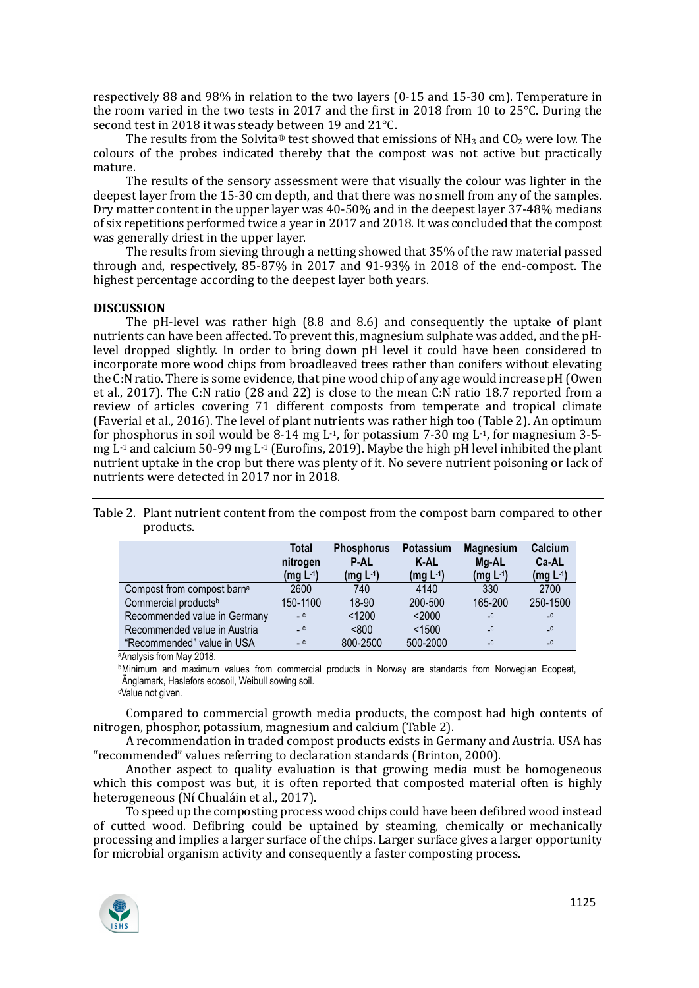respectively 88 and 98% in relation to the two layers (0-15 and 15-30 cm). Temperature in the room varied in the two tests in 2017 and the first in 2018 from 10 to 25°C. During the second test in 2018 it was steady between 19 and 21°C.

The results from the Solvita® test showed that emissions of  $NH_3$  and  $CO_2$  were low. The colours of the probes indicated thereby that the compost was not active but practically mature.

The results of the sensory assessment were that visually the colour was lighter in the deepest layer from the 15-30 cm depth, and that there was no smell from any of the samples. Dry matter content in the upper layer was 40-50% and in the deepest layer 37-48% medians of six repetitions performed twice a year in 2017 and 2018. It was concluded that the compost was generally driest in the upper layer.

The results from sieving through a netting showed that 35% of the raw material passed through and, respectively, 85-87% in 2017 and 91-93% in 2018 of the end-compost. The highest percentage according to the deepest layer both years.

## **DISCUSSION**

The pH-level was rather high (8.8 and 8.6) and consequently the uptake of plant nutrients can have been affected. To prevent this, magnesium sulphate was added, and the pHlevel dropped slightly. In order to bring down pH level it could have been considered to incorporate more wood chips from broadleaved trees rather than conifers without elevating the C:N ratio. There is some evidence, that pine wood chip of any age would increase pH (Owen et al., 2017). The C:N ratio (28 and 22) is close to the mean C:N ratio 18.7 reported from a review of articles covering 71 different composts from temperate and tropical climate (Faverial et al., 2016). The level of plant nutrients was rather high too (Table 2). An optimum for phosphorus in soil would be 8-14 mg L<sup>-1</sup>, for potassium 7-30 mg L<sup>-1</sup>, for magnesium 3-5mg  $L<sup>1</sup>$  and calcium 50-99 mg  $L<sup>1</sup>$  (Eurofins, 2019). Maybe the high pH level inhibited the plant nutrient uptake in the crop but there was plenty of it. No severe nutrient poisoning or lack of nutrients were detected in 2017 nor in 2018.

| Table 2. Plant nutrient content from the compost from the compost barn compared to other |
|------------------------------------------------------------------------------------------|
| products.                                                                                |

|                                        | Total<br>nitrogen<br>(mg L <sup>-1</sup> ) | <b>Phosphorus</b><br><b>P-AL</b><br>$(mg L-1)$ | <b>Potassium</b><br>K-AL<br>$(mg L-1)$ | <b>Magnesium</b><br>Mg-AL<br>$(mg L^{-1})$ | Calcium<br>Ca-AL<br>$(mg L-1)$ |
|----------------------------------------|--------------------------------------------|------------------------------------------------|----------------------------------------|--------------------------------------------|--------------------------------|
| Compost from compost barn <sup>a</sup> | 2600                                       | 740                                            | 4140                                   | 330                                        | 2700                           |
| Commercial products <sup>b</sup>       | 150-1100                                   | 18-90                                          | 200-500                                | 165-200                                    | 250-1500                       |
| Recommended value in Germany           | $-c$                                       | < 1200                                         | < 2000                                 | $\overline{\phantom{a}}$                   | $\overline{\phantom{a}}$       |
| Recommended value in Austria           | $-c$                                       | < 800                                          | < 1500                                 | $-C$                                       | $-c$                           |
| "Recommended" value in USA             | $-c$                                       | 800-2500                                       | 500-2000                               | $-c$                                       | $-c$                           |

aAnalysis from May 2018.

**bMinimum and maximum values from commercial products in Norway are standards from Norwegian Ecopeat.** Änglamark, Haslefors ecosoil, Weibull sowing soil.

c Value not given.

Compared to commercial growth media products, the compost had high contents of nitrogen, phosphor, potassium, magnesium and calcium (Table 2).

A recommendation in traded compost products exists in Germany and Austria. USA has "recommended" values referring to declaration standards (Brinton, 2000).

Another aspect to quality evaluation is that growing media must be homogeneous which this compost was but, it is often reported that composted material often is highly heterogeneous (Ní Chualáin et al., 2017).

To speed up the composting process wood chips could have been defibred wood instead of cutted wood. Defibring could be uptained by steaming, chemically or mechanically processing and implies a larger surface of the chips. Larger surface gives a larger opportunity for microbial organism activity and consequently a faster composting process.

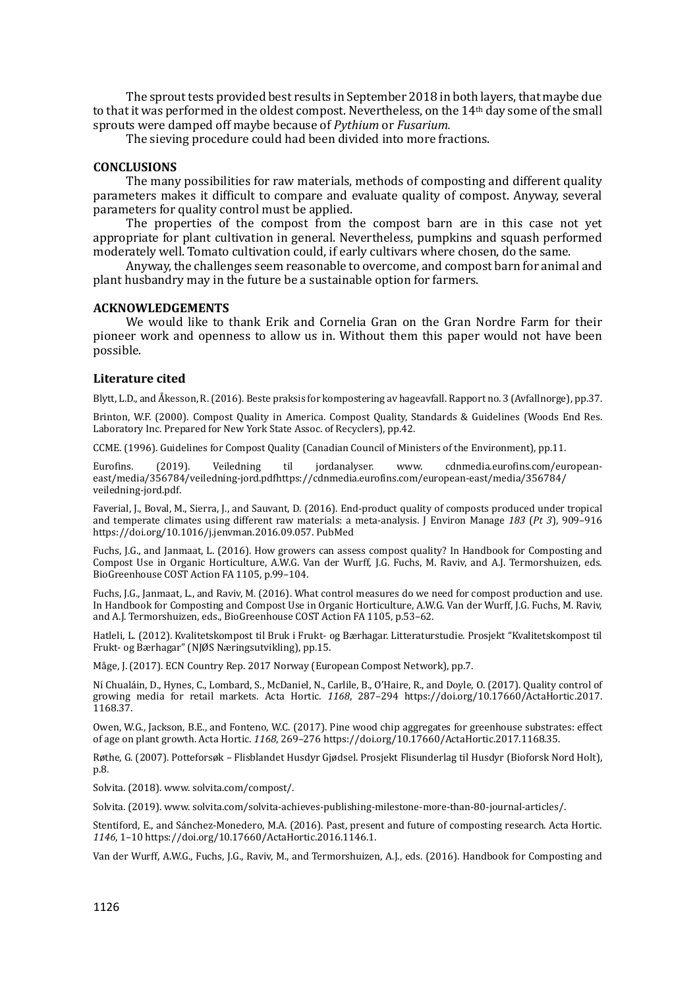The sprout tests provided best results in September 2018 in both layers, that maybe due to that it was performed in the oldest compost. Nevertheless, on the 14th day some of the small sprouts were damped off maybe because of *Pythium* or *Fusarium.*

The sieving procedure could had been divided into more fractions.

#### **CONCLUSIONS**

The many possibilities for raw materials, methods of composting and different quality parameters makes it difficult to compare and evaluate quality of compost. Anyway, several parameters for quality control must be applied.

The properties of the compost from the compost barn are in this case not yet appropriate for plant cultivation in general. Nevertheless, pumpkins and squash performed moderately well. Tomato cultivation could, if early cultivars where chosen, do the same.

Anyway, the challenges seem reasonable to overcome, and compost barn for animal and plant husbandry may in the future be a sustainable option for farmers.

## **ACKNOWLEDGEMENTS**

We would like to thank Erik and Cornelia Gran on the Gran Nordre Farm for their pioneer work and openness to allow us in. Without them this paper would not have been possible.

#### **Literature cited**

Blytt, L.D., and AÅ kesson, R.(2016). Beste praksis for kompostering av hageavfall. Rapport no. 3 (Avfallnorge), pp.37.

Brinton, W.F. (2000). Compost Quality in America. Compost Quality, Standards & Guidelines (Woods End Res. Laboratory Inc. Prepared for New York State Assoc. of Recyclers), pp.42.

CCME. (1996). Guidelines for Compost Quality (Canadian Council of Ministers of the Environment), pp.11.

Eurofins. (2019). Veiledning til jordanalyser. www. cdnmedia.eurofins.com/europeaneast/media/356784/veiledning-jord.pdfhttps://cdnmedia.eurofins.com/european-east/media/356784/ veiledning-jord.pdf.

Faverial, J., Boval, M., Sierra, J., and Sauvant, D. (2016). End-product quality of composts produced under tropical and temperate climates using different raw materials: a meta-analysis. J Environ Manage *183* (*Pt 3*), 909–916 <https://doi.org/10.1016/j.jenvman.2016.09.057>. [PubMed](https://www.ncbi.nlm.nih.gov/entrez/query.fcgi?cmd=Retrieve&db=PubMed&list_uids=27666645&dopt=Abstract)

Fuchs, J.G., and Janmaat, L. (2016). How growers can assess compost quality? In Handbook for Composting and Compost Use in Organic Horticulture, A.W.G. Van der Wurff, J.G. Fuchs, M. Raviv, and A.J. Termorshuizen, eds. BioGreenhouse COST Action FA 1105, p.99–104.

Fuchs, J.G., Janmaat, L., and Raviv, M. (2016). What control measures do we need for compost production and use. In Handbook for Composting and Compost Use in Organic Horticulture, A.W.G. Van der Wurff, J.G. Fuchs, M. Raviv, and A.J. Termorshuizen, eds., BioGreenhouse COST Action FA 1105, p.53–62.

Hatleli, L. (2012). Kvalitetskompost til Bruk i Frukt- og Bærhagar. Litteraturstudie. Prosjekt "Kvalitetskompost til Frukt- og Bærhagar" (NJØS Næringsutvikling), pp.15.

Måge, J. (2017). ECN Country Rep. 2017 Norway (European Compost Network), pp.7.

Nı́ Chualáin, D., Hynes, C., Lombard, S., McDaniel, N., Carlile, B., O'Haire, R., and Doyle, O. (2017). Quality control of growing media for retail markets. Acta Hortic. *1168*, 287–294 [https://doi.org/10.17660/ActaHortic.2017.](https://doi.org/10.17660/ActaHortic.2017.%201168.37) [1168.37](https://doi.org/10.17660/ActaHortic.2017.%201168.37).

Owen, W.G., Jackson, B.E., and Fonteno, W.C. (2017). Pine wood chip aggregates for greenhouse substrates: effect of age on plant growth. Acta Hortic. *1168*, 269–276 [https://doi.org/](https://doi.org/10.17660/ActaHortic.2017.1168.35)10.17660/ActaHortic.2017.1168.35.

Røthe, G. (2007). Potteforsøk – Flisblandet Husdyr Gjødsel. Prosjekt Flisunderlag til Husdyr (Bioforsk Nord Holt), p.8.

Solvita. (2018). www. solvita.com/compost/.

Solvita. (2019). www. solvita.com/solvita-achieves-publishing-milestone-more-than-80-journal-articles/.

Stentiford, E., and Sánchez-Monedero, M.A. (2016). Past, present and future of composting research. Acta Hortic. *1146*, 1–10 https://doi.org/10.17660[/ActaHortic.2016.1146.1.](https://doi.org/10.17660/ActaHortic.2016.1146.1)

Van der Wurff, A.W.G., Fuchs, J.G., Raviv, M., and Termorshuizen, A.J., eds. (2016). Handbook for Composting and